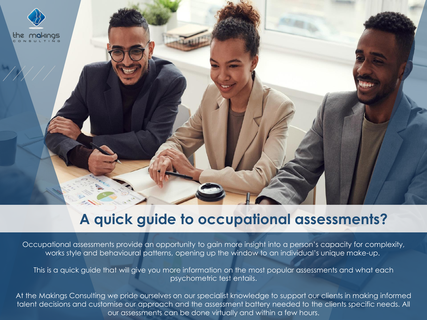

# **A quick guide to occupational assessments?**

Occupational assessments provide an opportunity to gain more insight into a person's capacity for complexity, works style and behavioural patterns, opening up the window to an individual's unique make-up.

This is a quick guide that will give you more information on the most popular assessments and what each psychometric test entails.

At the Makings Consulting we pride ourselves on our specialist knowledge to support our clients in making informed talent decisions and customise our approach and the assessment battery needed to the clients specific needs. All our assessments can be done virtually and within a few hours.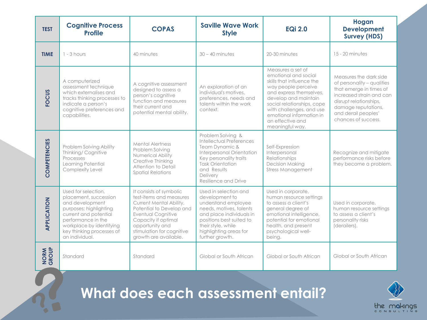| <b>TEST</b>         | <b>Cognitive Process</b><br><b>Profile</b>                                                                                                                                                                          | <b>COPAS</b>                                                                                                                                                                                                                           | <b>Saville Wave Work</b><br><b>Style</b>                                                                                                                                                                             | <b>EQi 2.0</b>                                                                                                                                                                                                                                                                | Hogan<br><b>Development</b><br><b>Survey (HDS)</b>                                                                                                                                                         |
|---------------------|---------------------------------------------------------------------------------------------------------------------------------------------------------------------------------------------------------------------|----------------------------------------------------------------------------------------------------------------------------------------------------------------------------------------------------------------------------------------|----------------------------------------------------------------------------------------------------------------------------------------------------------------------------------------------------------------------|-------------------------------------------------------------------------------------------------------------------------------------------------------------------------------------------------------------------------------------------------------------------------------|------------------------------------------------------------------------------------------------------------------------------------------------------------------------------------------------------------|
| <b>TIME</b>         | $1 - 3$ hours                                                                                                                                                                                                       | 40 minutes                                                                                                                                                                                                                             | $30 - 40$ minutes                                                                                                                                                                                                    | 20-30 minutes                                                                                                                                                                                                                                                                 | 15 - 20 minutes                                                                                                                                                                                            |
| <b>FOCUS</b>        | A computerized<br>assessment technique<br>which externalises and<br>tracks thinking processes to<br>indicate a person's<br>cognitive preferences and<br>capabilities.                                               | A cognitive assessment<br>designed to assess a<br>person's cognitive<br>function and measures<br>their current and<br>potential mental ability.                                                                                        | An exploration of an<br>individual's motives,<br>preferences, needs and<br>talents within the work<br>context.                                                                                                       | Measures a set of<br>emotional and social<br>skills that influence the<br>way people perceive<br>and express themselves,<br>develop and maintain<br>social relationships, cope<br>with challenges, and use<br>emotional information in<br>an effective and<br>meaningful way. | Measures the dark side<br>of personality - qualities<br>that emerge in times of<br>increased strain and can<br>disrupt relationships,<br>damage reputations,<br>and derail peoples'<br>chances of success. |
| <b>COMPETENCIES</b> | Problem Solving Ability<br>Thinking/ Cognitive<br>Processes<br>Learning Potential<br>Complexity Level                                                                                                               | <b>Mental Alertness</b><br>Problem Solving<br><b>Numerical Ability</b><br>Creative Thinking<br>Attention to Detail<br><b>Spatial Relations</b>                                                                                         | Problem Solving &<br><b>Intellectual Preferences</b><br>Team Dynamic &<br>Interpersonal Orientation<br>Key personality traits<br><b>Task Orientation</b><br>and Results<br>Delivery<br>Resilience and Drive          | Self-Expression<br>Interpersonal<br>Relationships<br><b>Decision Making</b><br><b>Stress Management</b>                                                                                                                                                                       | Recognize and mitigate<br>performance risks before<br>they become a problem.                                                                                                                               |
| APPLICATION         | Used for selection.<br>placement, succession<br>and development<br>purposes; highlighting<br>current and potential<br>performance in the<br>workplace by identifying<br>key thinking processes of<br>an individual. | It consists of symbolic<br>test-items and measures<br>Current Mental Ability,<br>Potential to Develop and<br><b>Eventual Cognitive</b><br>Capacity if optimal<br>opportunity and<br>stimulation for cognitive<br>growth are available. | Used in selection and<br>development to<br>understand employee<br>needs, motives, talents<br>and place individuals in<br>positions best suited to<br>their style, while<br>highlighting areas for<br>further growth. | Used in corporate,<br>human resource settings<br>to assess a client's<br>general degree of<br>emotional intelligence.<br>potential for emotional<br>health, and present<br>psychological well-<br>being.                                                                      | Used in corporate,<br>human resource settings<br>to assess a client's<br>personality risks<br>(derailers).                                                                                                 |
| NORM<br>GROUP       | Standard                                                                                                                                                                                                            | Standard                                                                                                                                                                                                                               | Global or South African                                                                                                                                                                                              | Global or South African                                                                                                                                                                                                                                                       | Global or South African                                                                                                                                                                                    |

**What does each assessment entail?**

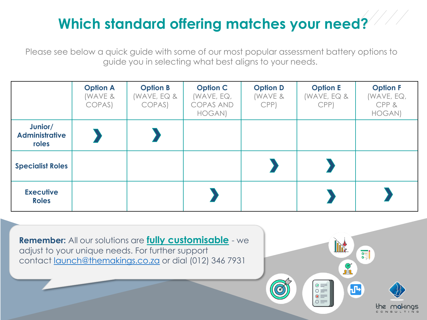# **Which standard offering matches your need?**

Please see below a quick guide with some of our most popular assessment battery options to guide you in selecting what best aligns to your needs.

|                                           | <b>Option A</b><br>(WAVE &<br>COPAS) | <b>Option B</b><br>(WAVE, EQ &<br>COPAS) | <b>Option C</b><br>(WAVE, $EQ,$<br><b>COPAS AND</b><br>HOGAN) | <b>Option D</b><br>(WAVE &<br>CPP) | <b>Option E</b><br>(WAVE, EQ $\&$<br>CPP) | <b>Option F</b><br>(WAVE, EQ,<br>CPP&<br>HOGAN) |
|-------------------------------------------|--------------------------------------|------------------------------------------|---------------------------------------------------------------|------------------------------------|-------------------------------------------|-------------------------------------------------|
| Junior/<br><b>Administrative</b><br>roles |                                      |                                          |                                                               |                                    |                                           |                                                 |
| <b>Specialist Roles</b>                   |                                      |                                          |                                                               |                                    |                                           |                                                 |
| <b>Executive</b><br><b>Roles</b>          |                                      |                                          |                                                               |                                    |                                           |                                                 |

**Remember:** All our solutions are **fully customisable** - we adjust to your unique needs. For further support contact [launch@themakings.co.za](mailto:launch@themakings.co.za) or dial (012) 346 7931

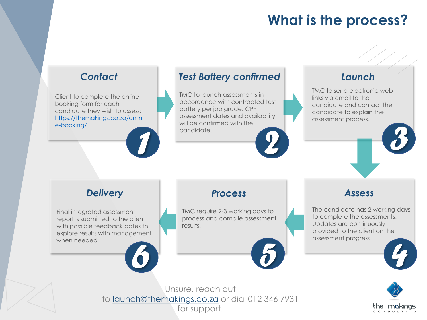# **What is the process?**

# *Contact*

Client to complete the online booking form for each candidate they wish to assess: [https://themakings.co.za/onlin](https://themakings.co.za/online-booking/) e-booking/



TMC to launch assessments in accordance with contracted test battery per job grade. CPP assessment dates and availability will be confirmed with the candidate. *1 2*

TMC to send electronic web links via email to the candidate and contact the candidate to explain the assessment process. *3*

### *Delivery*

Final integrated assessment report is submitted to the client with possible feedback dates to explore results with management when needed.

### *Process*

TMC require 2-3 working days to process and compile assessment results.

# *Assess*

The candidate has 2 working days to complete the assessments. Updates are continuously provided to the client on the assessment progress. *6 5 4*



Unsure, reach out to [launch@themakings.co.za](mailto:launch@themakings.co.za) or dial 012 346 7931 for support.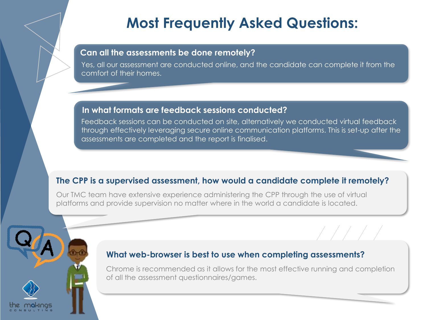# **Most Frequently Asked Questions:**

#### **Can all the assessments be done remotely?**

Yes, all our assessment are conducted online, and the candidate can complete it from the comfort of their homes.

#### **In what formats are feedback sessions conducted?**

Feedback sessions can be conducted on site, alternatively we conducted virtual feedback through effectively leveraging secure online communication platforms. This is set-up after the assessments are completed and the report is finalised.

### **The CPP is a supervised assessment, how would a candidate complete it remotely?**

Our TMC team have extensive experience administering the CPP through the use of virtual platforms and provide supervision no matter where in the world a candidate is located.

### **What web-browser is best to use when completing assessments?**

Chrome is recommended as it allows for the most effective running and completion of all the assessment questionnaires/games.